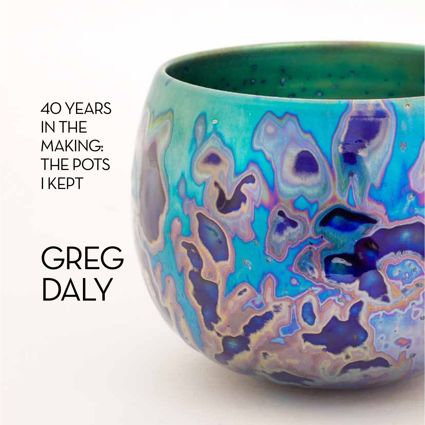40 YEARS IN THE **MAKING:** THE POTS **IKEPT** 

# GREG DALY

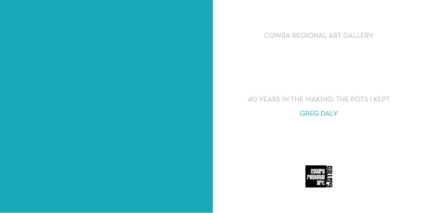## 40 Years IN THE MakinG: The Pots I Kept GREG DALY





## Cowra REGIONAL ART Gallery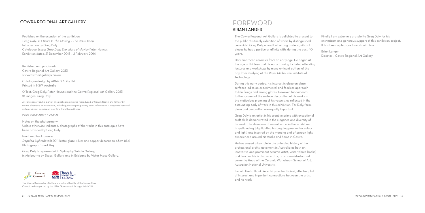The Cowra Regional Art Gallery is delighted to present to the public this timely exhibition of works by distinguished ceramicist Greg Daly, a result of setting aside significant pieces he has a particular affinity with, during the past 40 years.

During this early period, his interest in glaze on glaze surfaces led to an experimental and fearless approach to kiln firings and mixing glazes. However, fundamental to the success of the surface decoration of his works is the meticulous planning of his vessels, as reflected in the astounding body of work in this exhibition. For Daly, form, glaze and decoration are equally important.<br>Grea Daly is an artist in his creative prime with exceptional

Daly embraced ceramics from an early age. He began at the age of thirteen and his early training included attending lectures and workshops by many eminent potters of the day, later studying at the Royal Melbourne Institute of Technology.

The Cowra Regional Art Gallery is a cultural facility of the Cowra Shire Council and supported by the N S W Government through Arts N S W.

#### 2 | 40 YEARS IN THE MAKING: THE PC

### FOREWC BRIAN LANGE

craft skills demonstrated in the elegance and diversity of his work. The showcase of recent works in the exhibition is spellbinding (highlighting his ongoing passion for colour and light) and inspired by the morning and afternoon light experienced around his studio and home in Cowra.

He has played a key role in the unfolding history of the professional crafts movement in Australia as both an innovative and prominent ceramic artist, writer (three books) and teacher. He is also a curator, arts administrator and currently, Head of the Ceramic Workshop – School of Art, Australian National University.

I would like to thank Peter Haynes for his insightful text; full of interest and important connections between the artist and his work.

Finally, I am extremely grateful to Greg Daly for his enthusiasm and generous support of this exhibition project. It has been a pleasure to work with him.

Brian Langer Director – Cowra Regional Art Gallery

#### COWRA REGIONAL ART G

Published on the occasion of the exhibition Greg Daly: 40 Years In The Making – The Pots I Keep Introduction by Greg Daly Catalogue Essay: Greg Daly. The allure of clay by Peter Haynes Exhibition dates: 21 December 2013 – 2 February 2014

Published and produced: Cowra Regional Art Gallery, 2013 www.cowraartgallery.com.au

Catalogue design by ARMED IA Pty Ltd Printed in N S W, Australia

© Text: Greg Daly, Peter Haynes and the Cowra Regional Art Gallery 2013 © Images: Greg Daly

All rights reserved. No part of this publication may be reproduced or transmitted in any form or by means electronic or mechanical, including photocopying or any other information storage and retrieval system, without permission in writing from the publisher.

#### ISBN 978-0-9923730-0-9

Notes on the photography: Unless otherwise indicated, photographs of the works in this catalogue have been provided by Greg Daly.

Front and back covers: Dappled Light (detail) 2011 lustre glaze, silver and copper decoration 48cm (dia) Photograph: Stuart Hay

Greg Daly is represented in Sydney by Sabbia Gallery, in Melbourne by Skepsi Gallery, and in Brisbane by Victor Mace Gallery.

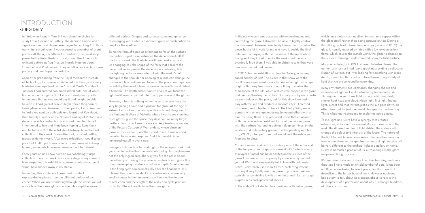In the early years I was obsessed with understanding and controlling the glaze. I strived to be able to tightly control the final result. However, eventually I learnt not to control the glaze, but to let it work for me and have it decide the final outcome. By playing with the thickness of the application, the type of clay I used to make the works and the way I eventually fired them, I was able to obtain results that were new, unexpected and unique.

In 2007 I had an exhibition at Sabbia Gallery, in Sydney, called Shades of Red. The pieces in that show were the result of my experimentation with copper red glazes, a type of glaze that requires a very precise firing to control the atmosphere of the kiln, which reduces the copper in the glaze and creates the deep red colour. Normally you try and create an even colour on the piece, but for this show I wanted to play with the kiln and produce a random effect. I created an uneven, variable atmosphere in the kiln by firing some burners with an orange, reducing flame and others with a blue, oxidising flame. This produced works that combined both the reduced and oxidised forms of the copper glaze, with the surface fluctuating between deep carmines, bright scarlets and pale watery greens. It is like painting with fire at 1,300˚C, a temperature that would melt the ash in your fireplace to glass.

My more recent work with lustres happens at the other end of the temperature range, at a mere 700˚C, where a very thin layer of metal can be deposited on the surface of the glaze. I discovered lustres purely by chance in my second year at RMIT, and very quickly fell in love with gold resin lustre. I very rarely used it on it's own, preferring instead to spray it very lightly over the glaze to produce pinks and apricots, or combining it with other metal resin lustres to get purples, reds and opalescent sheens.

In the mid-1980s, I started to experiment with lustre alazes,

In 1967, when I was in Year 8, I was given the choice to study Latin, German or Pottery. The decision I made was a significant one, and I have never regretted making it. In those early high school years, I was exposed to a number of great potters. At the age of fifteen, I attended my first workshop, presented by Peter Rushforth and, soon after, I met such eminent potters as Reg Preston, Harold Hughan, Joan Campbell and Paul Soldner. They all left a mark on how I saw pottery and how I approached clay.

Soon after graduating from the Royal Melbourne Institute of Technology, I was in an exhibition at the George's Gallery in Melbourne organised by the Arts and Crafts Society of Victoria. I had entered two, small lidded pots, one of which had a copper red glaze that I was extremely happy with. In the hope that no one would buy it and I might be able to keep it, I had given it a much higher price than normal, twenty-five dollars! However, at the opening I was dismayed to find a red spot on both pots and learnt that Ken Hood, then Deputy Director of the National Gallery of Victoria and decorative arts curator, had purchased them for himself. I mentioned to him that I had been hoping to keep them and he told me that the artist should always have the best collection of their work. Soon after that, I started putting pieces aside for myself. After every exhibition, I would select pots that I felt a particular affinity for and wanted to keep: indeed, some pots have never even made it to a show!

Forty years on and I now have an overwhelmingly large collection of my own work, from every stage of my career. It is so large that this exhibition represents only a fraction of what I have hidden away in my studio.

In creating this exhibition, I have tried to select representative pieces from the different periods of my career. When you are wandering through the works, you will notice how the forms, glazes and details morph between

different periods. Shapes and surfaces come and go, often re-emerging years later in a different guise or combination as I explore the medium.

To me the form of a pot, as a foundation for all the surface decoration, is just as important as the decoration itself. If the form is weak, the final piece will seem awkward and un-engaging. It is the shape of the form that borders the piece and encompasses the decoration, controlling how the lighting and your eyes interact with the work. Small changes to the shoulder or opening of a vase can change the presence it has and how you focus on the piece. Your eye can be held by the rim of a bowl, or drawn away with the slightest alteration. The depth and curvature of a pot will focus the light in different ways and alter the appearance of the glazes.

However, a form is nothing without a surface, and from the very beginning I have had a passion for glaze. At the age of sixteen I was taken to a retrospective of Harold Hughan at the National Gallery of Victoria, where I was to see stunning, quiet glazes, given the space they deserved on many large platters. Soon after I saw the work of Reg Preston, a founder of the Potters Cottage at Warrandyte, whose glaze on glaze surfaces were of another world to me. It was a world I wanted to know and explore. And it is a world I have immersed myself in ever since.

One gets to know how to read a glaze like an open book, and you start to realise that the materials that go into a glaze are not the only ingredients. The way you fire the pot is about more than just turning the powdered materials into glass. It is about developing a surface, a colour, a depth. Small changes in the firing cycle can dramatically alter the final piece. It is a lesson that is most evident in my lustre work, where very small changes in the temperature of the kiln, the degree of reduction and the length of the reduction cycle produce radically different results from the same glaze.

which have metals such as silver, bismuth and copper within the glaze itself, rather than being sprayed on top. During a third firing cycle at a lower temperature (around 700˚C) the glaze is heavily reduced by firing with a low-oxygen yellow flame, which causes the metals within the glaze to deposit on the surface, forming a multi-coloured, shiny metallic surface.

Many years later, in 2009, I returned to lustre glazes. The earlier resin lustres I had found great at providing a reflective illusion of surface, but I was looking for something with more depth, something that could capture the amazing variety of light that we are surround by every day.

In my environment I see constantly changing shades and intensities of light as I walk between my home and studio. Throughout the year I see light through mist, rain, dust, smoke, heat haze and cloud. Moon light, first light, fading light, sunset and that instant, just as the sun goes down, an after glow that for just a moment changes the land and sky. This is what has inspired me to exploring lustre glazes.

To me, light and lustre have a synergy that creates astonishing colour and movement. As you move around the work, the different angles of light striking the surface will change the colour and intensity of the lustre. The nature of the light too will have a remarkable affect on the colour and tone of the glaze, as the spectrum of natural light outside will be very different to the artificial light in a gallery or home. Lustre is as much a product of its surroundings as the glaze recipe and firing process.

It's been over forty years since I first touched clay, and since that time I have made an untold number of pots. It has been a difficult undertaking to select pieces for this show that do justice to the larger body of work. However each one has a story to tell, about its creation, about its role in the development of a potter and about why it, amongst hundreds of others, was saved.

## INTRODUCTION Greg DALY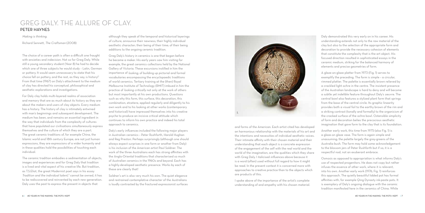and forms of the American. Each artist cited has developed an harmonious relationship with the materials of his art and the intentions and necessities of individual aesthetic voices. Their intimate affinity with their chosen material and their understanding that each object is a concrete expression of the engagement of the self with the real world and the world of the imagination, are the qualities which they share with Greg Daly. I italicised influences above because it is a word (often) used without full regard to how it might be read. In the present context it is concerned more with approaches to creative practice than to the objects which are products of this.

I spoke above of the importance of the artist's complete understanding of and empathy with his chosen material.

Making is thinking.

Richard Sennett, The Craftsman (2008)

The choice of a career path is often a difficult one fraught with anxieties and indecision. Not so for Greg Daly. While still a young secondary student (Year 8) he had to decide which one of three subjects he would study – Latin, German or pottery. It would seem unnecessary to state that his choice fell on pottery, and the rest, as they say, is history!<sup>1</sup> From that time (1967) on Daly's attachment to the medium of clay has directed his conceptual, philosophical and aesthetic explorations and investigations.

For Daly clay holds multi-layered realms of association and memory that are as much about its history as they are about the makers and users of clay objects. Every medium has a history. The history of clay is intimately entwined with man's beginnings and subsequent development. The medium has been, and remains an essential ingredient in the way that individuals from the complexity of cultures that have populated our civilisations simultaneously express themselves and the culture of which they are a part. The great ceramic traditions of, for example China, the Islamic world and 18th century Europe, are not just human expressions, they are expressions of a wider humanity and in these qualities hold the possibilities of touching each individual.

The ceramic tradition embodies a sedimentation of objects, images and experiences and for Greg Daly that tradition is a lived and vital aspect of his creative life. But tradition, as T.S.Eliot, the great Modernist poet says in his essay Tradition and the individual talent, 2 cannot be owned, it has to be rediscovered and reinvented by each new generation. Daly uses the past to express the present in objects that

although they speak of the temporal and historical layerings of culture, announce their newness; their highly individual aesthetic character; their being of their time; of their being additions to the ongoing ceramic tradition.

Greg Daly's history in ceramics is one that began before he became a maker. His early years saw him visiting for example, the great ceramics collections held by the National Gallery of Victoria. These excursions instilled in him the importance of looking, of building up pictorial and formal vocabularies encompassing the encyclopaedic traditions of world ceramics. Tertiary training at the (then) Royal Melbourne Institute of Technology (RMIT) imbued in him the practice of looking critically not only at the work of others but most importantly at his own productions. Questions such as why this form, this surface, this decoration, this combination, etcetera, applied regularly and diligently to his own work and to his looking at other works (contemporary and historical) have impressed themselves into his creative psyche to produce an incisive critical attitude which continues to inform his own practice and indeed his total approach to ceramics.

Daly's early influences included the following major players in Australian ceramics – Peter Rushforth, Harold Hughan and Reg Preston. Perhaps surprisingly (although one should always expect surprises in one form or another from Daly) is his inclusion of the American artist Paul Soldner. The work of the three Australians each has strong affinities with the Anglo-Oriental traditions that characterised so much of Australian ceramics in the 1960s and beyond. Each has a highly-developed aesthetic presence. Works by each of these are clearly that!

Soldner's art is also very much his own. The quiet elegance and restrained contemplative character of the Australians is loudly contrasted by the fractured expressionist surfaces

Daly demonstrated this very early on in his career. His understanding extends not only to the raw material of the clay but also to the selection of the appropriate form and decoration to provide the necessary cohesion of elements that constitute the complexity that is the art object. His focused direction resulted in sophisticated essays in the ceramic medium, striking for the balanced harmony of elements and precise geometries of form.

A glaze-on-glaze platter from 1973 (Fig. 1) serves to exemplify the preceding. The form is simple – a circular, rimmed platter. The palette is essentially brown relieved by a crackled light ochre in the centre. The insistent presence of the Australian landscape is hard to deny and will become a subtle yet indelible feature throughout Daly's oeuvre. The central bowl also features a stylized plant form that springs from the base of the central circle. Its graphic linearity provides both a visual foil to the earthy brown of the rim and a striking contrast (tonally and formally) to the organicism of the cracked surface of the ochre bowl. Ostensible simplicity of form and decoration belies the precocious aesthetic imagination that gave form to the clay that is its foundation.

Another early work, this time from 1975 (also Fig. 1) is a glaze-on glaze vase. The form is again simple and unassuming; the palette largely the grey-greens of the Australia bush. The form may hold some acknowledgement to the blossom jars of Peter Rushforth but if so, it is a respectful nod, not an exuberant embrace.

Osmosis as opposed to appropriation is what informs Daly's use of respected progenitors. He does not copy but rather infuses the essence of other work, where it is relevant, into his own. Another early work (1976, Fig. 1) reinforces this approach. The quietly beautiful lidded pot has formal affinities with, for example Qing Dynasty ink-paste pots. It is exemplary of Daly's ongoing dialogue with the ceramic tradition manifested here in the ceramics of China. While

## Greg Daly. The allure of clay. PETER HAYNES

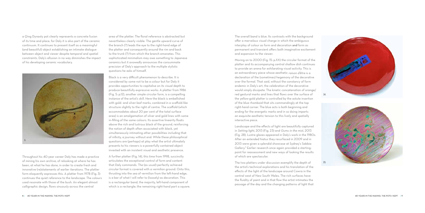a Qing Dynasty pot clearly represents a concrete fusion of its time and place, for Daly it is also part of the ceramic continuum. It continues to present itself as a meaningful (and beautiful) object establishing an intimate dialogue between object and viewer despite temporal and spatial constraints. Daly's allusion in no way diminishes the impact of his developing ceramic vocabulary.

area of the platter. The floral reference is abstracted but nevertheless clearly visible. The gentle upward curve of the branch (?) leads the eye to the right-hand edge of the platter and consequently around the rim and back to the trunk (?) from which the branch emanates. This sophisticated minimalism may owe something to Japanese ceramics but it avowedly announces the consummate precision of Daly's approach to the multiple stylistic questions he asks of himself.

The overall band is blue. Its contrasts with the background offer a marvelous visual charge in which the ambiguous interplay of colour as form and decoration and form as permanent and transient offers both imaginative excitement and expansion to the viewer.

Black is a very difficult phenomenon to describe. It is considered by some not to be a colour but for Daly it provides opportunities to capitalise on its visual depth to produce beautifully expressive works. A platter from 1986 (Fig. 5: p.12), another simple circular form, is a compelling instance of the artist's skill. Here the black is embellished with gold- and silver-leaf marks, combined in a scaffold-like structure slightly to the right of centre. The scaffold (which accommodates about 20 per cent of the total surface area) is an amalgamation of silver and gold lines with some in-filling of the same colours. Its assertive linearity floats above the rich and lustrous black of the ground, reinforcing the notion of depth often associated with black, yet simultaneously intimating other possibilities including that of infinity, a journey without end. While these philosophical questions are (perhaps) at play what the artist ultimately presents to his viewers is a powerfully contained object invested with an insistent visual and aesthetic presence.

A further platter (Fig. 14), this time from 1998, succinctly articulates the exceptional control of form and content that Daly commands. The (as usual) perfectly achieved circular format is covered with a vermilion ground. Onto this, thrusting into the sea of vermilion from the left-hand edge, is a bar of what I will refer to (loosely) as decoration. This is a rectangular band, the majority, left-hand component of which is a rectangle; the remaining right-hand part a square.

Moving on to 2000 (Fig. 15: p.XX) the circular format of the platter and its accompanying central shallow dish continues to provide an arena for exhilarating visual activity. This is an extraordinary piece whose aesthetic raison d'être is a declaration of the (sometimes) hegemony of the decorative over the formal. That said, without the constancy of form endemic in Daly's art, the celebration of the decorative would simply dissipate. The kinetic concatenation of orange/ red gestural marks and lines that flows over the surface of the yellow-gold platter is controlled by the astute insertion of the blue rhomboid that sits commandingly at the top right-hand corner. The blue acts is both beginning and ending for the energetic marks and in so doing imparts an exquisite aesthetic tension to this lively and spatially interactive piece.

Landscape and the effects of light are beautifully captured in Setting light, 2013 (Fig. 23) and Gums in the mist, 2013 (Fig. 28). Lustre glazes appeared in Daly's work in the 1980s. After an extended hiatus they resurfaced in 2009 and in 2013 were given a splendid showcase at Sydney's Sabbia<br>Gallery.<sup>3</sup> Earlier research once again provided a startingpoint for reassessment and new ways of looking the results of which are spectacular.

The two platters under discussion exemplify the depth of the artist's technical explorations and his translation of the effects of the light of the landscape around Cowra in the central west of New South Wales. The rich surfaces have the fluidity of paint and in that flow the artist intimates the passage of the day and the changing patterns of light that



Throughout his 40-year career Daly has made a practice of mining his own archive, of relooking at where he has been, at what he has done, in order to create fresh and innovative (re)statements of earlier iterations. The platter form eloquently expresses this. A platter from 1978 (Fig. 3) continues the quiet reference to the landscape. The colours used resonate with those of the bush. An elegant almost calligraphic design, flows sinuously across the central

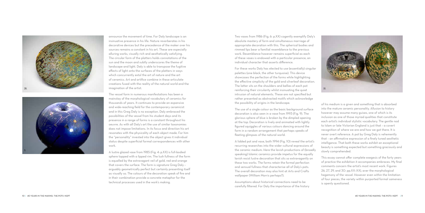announce the movement of time. For Daly landscape is an insinuative presence in his life. Nature reverberates in his decorative devices but the precedence of the maker over his sources remains a constant in his art. These are especially alluring works, visually rich and aesthetically satisfying. The circular form of the platters holds connotations of the sun and the moon and subtly underscores the theme of landscape and light. Daly is able to transpose the fugitive effects of light onto the surfaces of the platters in ways which concurrently extol the art of nature and the art of ceramics. Art and artifice combine in these articulate creations fused with the reality of the natural world and the imagination of the artist.

The vessel form in numerous manifestations has been a mainstay of the morphological vocabulary of ceramics for thousands of years. It continues to provide an expansive and wide-reaching field for the contemporary ceramicist and in this Greg Daly is no exception. Daly embraced the possibilities of the vessel from his student days and its presence in a range of forms is a constant throughout his oeuvre. As with all Daly's art the use of similar taxonomies does not impose limitations. In its focus and direction his art resonates with the physicality of each object made. For him the "personality" invested into the object gives it individual status despite superficial formal correspondences with other work.

A lustre glazed vase from 1985 (Fig. 4: p.XX) is full-bodied sphere topped with a lipped rim. The lush fullness of the form is equalled by the extravagant veil of gold, red and orange that covers the surface. The form is signature Greg Daly – arguably geometrically perfect but certainly presenting itself as visually so. The colours of the decoration speak of fire and in their combination provide a concrete metaphor for the technical processes used in the work's making.







Two vases from 1986 (Fig. 6: p.XX) cogently exemplify Daly's absolute mastery of form and simultaneous marriage of appropriate decoration with this. The spherical bodies and rimmed lips bear a familial resemblance to the previous work. Resemblance however remains superficial as each of these vases is endowed with a particular presence, an individual character that asserts difference.

For these works Daly has elected to use (essentially) singular palettes (one black, the other turquoise). This device showcases the perfection of the forms while highlighting the effective simplicity of the gold and silverleaf decoration. The latter sits on the shoulders and bellies of each pot reinforcing their circularity whilst insinuating the quiet intrusion of natural elements. These are not specified but rather presented as abstracted motifs which acknowledge the possibility of origins in the landscape.

The use of a single colour as the basic background surface decoration is also seen in a vase from 1993 (Fig. 9). The glorious sphere of blue is broken by the dimpled opening at the top. Decoration is lively and animated with lightly figured squiggles of various colours dancing around the form in a random arrangement that perhaps speaks of fleeting glimpses of the natural world.

A lidded pot and vase, both 1994 (Fig. 10) reveal the artist's recurring researches into the wider cultural expressions of the ceramic medium. Here the lavish productions of (broadly speaking) Islamic ceramics provide impetus for the equally lavish resist lustre decoration that sits so extravagantly on these two works. The forms retain the formal perfection and sensual fullness that characterise all of Daly's pots. The overall decoration may also hint at Arts and Crafts wallpaper ( William Morris perhaps?).

Assumptions about historical connections need to be carefully filtered. For Daly the importance of the history of his medium is a given and something that is absorbed into the mature ceramic personality. Allusion to history however may assume many guises, one of which is its inclusion as one of those myriad qualities that constitute each artist's individual stylistic vocabulary. The gentle nod to Islam or late Victorian England is just that – a covert recognition of where we are and how we got there. It is never overt reference. A pot by Greg Daly is vehemently that – an affirmative expression of a finely tuned aesthetic intelligence. That both these works exhibit an exceptional beauty is something expected but something graciously and slowly comprehended.

This essay cannot offer complete exegesis of the forty years of practice the exhibition it accompanies embraces. My final comments concern the artist's most recent work. Figures 26, 27, 29, and 30: pp.XX–XX), aver the morphological hegemony of the vessel. However even within the limitation of four pieces, the variety within purported formal sameness is openly questioned.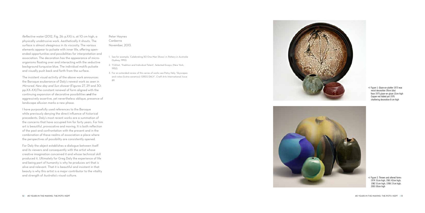The insistent visual activity of the above work announces the Baroque exuberance of Daly's newest work as seen in Mirrored, New day and Sun shower (Figures 27, 29 and 30: pp.XX–XX).The constant renewal of form aligned with the continuing expansion of decorative possibilities and the aggressively assertive, yet nevertheless oblique, presence of landscape allusion marks a new phase.<br>I have purposefully used references to the Baroque

Reflective water (2012, Fig. 26: p.XX) is, at 10 cm high, a physically unobtrusive work. Aesthetically it shouts. The surface is almost oleaginous in its viscosity. The various elements appear to pulsate with inner life, offering openended opportunities and possibilities for interpretation and association. The decoration has the appearance of microorganisms floating over and interacting with the seductive background turquoise blue. The individual motifs pulsate and visually push back and forth from the surface.

while previously denying the direct influence of historical precedents. Daly's most recent works are a summation of the concerns that have occupied him for forty years. For him art is beautiful, provocative and moving. It is both reflection of the past and confrontation with the present and in the combination of these realms of association a place where the perspectives of possibility are consistently opened.

For Daly the object establishes a dialogue between itself and its viewers and consequently with the artist whose creative imagination conceived it and whose technical skill produced it. Ultimately for Greg Daly the experience of life and being part of humanity is why he produces art that is alive and relevant. That it is beautiful and insistent in that beauty is why this artist is a major contributor to the vitality and strength of Australia's visual culture.

Peter Haynes Canberra November, 2013.

- 1. See for example, 'Celebrating 50 One Man Shows' in Pottery in Australia (Sydney, 1992).
- 2. T.S.Eliot, 'Tradition and Individual Talent', Selected Essays, (New York, 1952).
- 3. For an extended review of this series of works see Patsy Hely, 'Skyscapes and vistas (lustre ceramics): GRE G DALY', Craft Arts International, Issue 89.





Figure 1: Glaze-on-platter 1973 wax resist decoration 39cm (dia) Vase 1975 glaze-on-glaze 12cm high Copper red lidded pot 1976 chattering decoration 8 cm high

Figure 2: Thrown and altered forms 1974 31cm high; 1981 42cm high; 1982 31cm high; 1998 17cm high; 2003 30cm high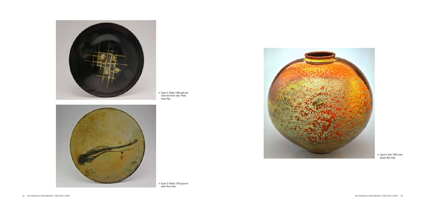Figure 4: Vase 1985 lustre glazed 28cm high

Figure 3: Platter 1978 glaze-onglaze 45cm (dia)





Figure 5: Platter 1986 gold and silver leaf 45cm (dia). Photo: Stuart Hay

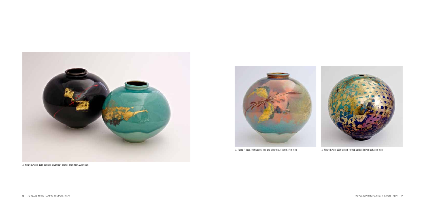



 $\triangle$  Figure 6: Vases 1986 gold and silver leaf, enamel 24cm high, 22cm high



A Figure 7: Vase 1989 lustred, gold and silver leaf, enamel 37cm high Figure 8: Vase 1990 etched, lustred, gold and silver leaf 28cm high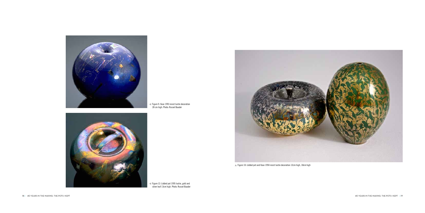

18 | 4O YEARS IN THE MAKING: THE POTS I KEPT | 19



Figure 9: Vase 1993 resist lustre decoration 28 cm high. Photo: Russel Baader



Figure 12: Lidded pot 1995 lustre, gold and silver leaf 13cm high. Photo: Russel Baader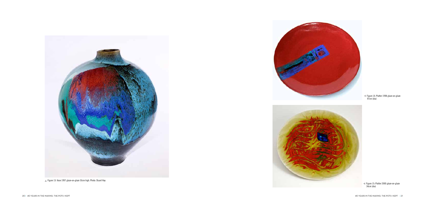



Figure 13: Vase 1997 glaze-on-glaze 53cm high. Photo: Stuart Hay

Figure 14: Platter 1998 glaze-on-glaze 97cm (dia)



Figure 15: Platter 2000 glaze-on-glaze 34cm (dia)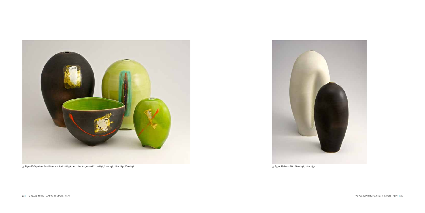



▲ Figure 17: Tripod and Quad Vases and Bowl 2002 gold and silver leaf, enamel 33 cm high, 31cm high, 20cm high, 17cm high Figure 16: Forms 2001 38cm high, 26cm high Figure 16: Forms 2001 38cm high, 26cm high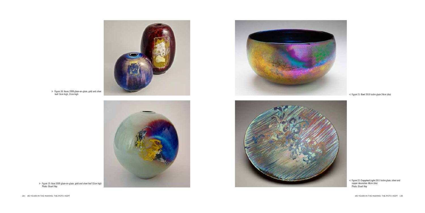24 | 40 Years IN THE MakinG: The Pots I Kept 40 Years IN THE MakinG: The Pots I Kept | 25

Figure 19: Vase 2009 glaze-on-glaze, gold and silver leaf 32cm high Photo: Stuart Hay

#### Figure 21: Bowl 2010 lustre glaze 24cm (dia)

Figure 22: Dappled Light 2011 lustre glaze, silver and copper decoration 48cm (dia) Photo: Stuart Hay



Figure 18: Vases 2008 glaze-on-glaze, gold and silver leaf 15cm high, 21cm high





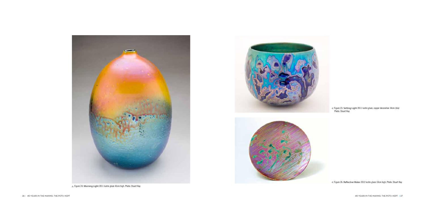Figure 23: Setting Light 2011 lustre glaze, copper decoration 34cm (dia) Photo: Stuart Hay









Figure 26: Reflective Water 2012 lustre glaze 10cm high. Photo: Stuart Hay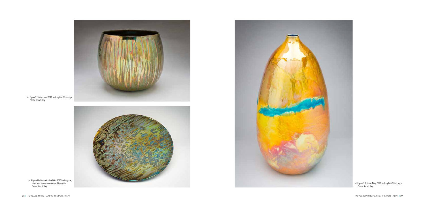28 | 40 Years IN THE MakinG: The Pots I Kept 40 Years IN THE MakinG: The Pots I Kept | 29

Figure 28: Gums in the Mist 2013 lustre glaze, silver and copper decoration 58cm (dia) Photo: Stuart Hay





Figure 27: Mirrored 2012 lustre glaze 23cm high Photo: Stuart Hay



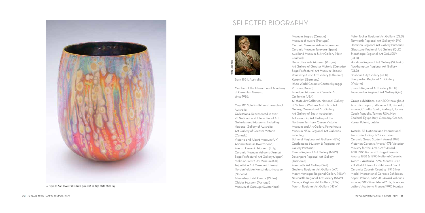

Born 1954, Australia.

Member of the International Academy of Ceramics, Geneva, since 1986.

Over 80 Solo Exhibitions throughout Australia.

Collections: Represented in over 75 National and International Art Galleries and Museums. Including: National Gallery of Australia Art Gallery of Greater Victoria (Canada)

Decorative Arts Museum (Prague) Art Gallery of Greater Victoria (Canada) Saga Prefectural Art Museum (Japan) Panevezys Civic Art Gallery (Lithuania) Keramion ( Germany) Ichon World Ceramic Centre ( Kyonggi Province, Korea) American Museum of Ceramic Art, California (USA) All state Art Galleries: National Gallery of Victoria, Western Australian Art Gallery, Queensland Art Gallery, Art Gallery of South Australian, ArtTasmania, Art Gallery of the Northern Territory, Queen Victoria Museum and Art Gallery, Powerhouse Museum N S W. Regional Art Galleries including: Bathurst Regional Art Gallery ( N S W ) Castlemaine Museum & Regional Art Gallery (Victoria) Cowra Regional Art Gallery ( N S W ) Davonport Regional Art Gallery (Tasmania) Fremantle Art Gallery ( WA) Geelong Regional Art Gallery ( WA) Manly Municipal Regional Gallery ( N S W ) Newcastle Regional Art Gallery ( N S W ) Orange Regional Art Gallery ( N S W ) Penrith Regional Art Gallery (NSW)

Victoria and Albert Museum (U K) Ariana Museum (Switzerland) Faenza Ceramic Museum ( Italy) Ceramic Museum Vallauris (France) Saga Prefectural Art Gallery (Japan) Stoke-on-Trent City Museum (U K ) Taipei Fine Art Museum (Taiwan) Nordenfjeldske Kunstindustrimuseum (Norway)

Aberystwyth Art Centre ( Wales) Obidos Museum (Portugal) Museum of Carouge (Switzerland) Museum Zagreb (Croatia) Museum of Aveiro (Portugal) Ceramic Museum Vallauris (France) Ceramic Museum Talavera (Spain) Auckland Museum & Art Gallery ( New Zealand)

Peter Tucker Regional Art Gallery (QLD) Tamworth Regional Art Gallery ( N S W ) Hamilton Regional Art Gallery (Victoria) Gladstone Regional Art Gallery (QLD) Stanthorpe Regional Art GALLERY (QLD) Horsham Regional Art Gallery (Victoria) Rockhampton Regional Art Gallery (QLD) Brisbane City Gallery (QLD) Shepparton Regional Art Gallery (Victoria) Ipswich Regional Art Gallery (QLD) Toowoomba Regional Art Gallery (Qld)

Group exhibitions: over 200 throughout Australia, Japan, Lithuania, U K, Canada, France, Croatia, Spain, Portugal, Turkey, Czech Republic, Taiwan, USA, New Zealand, Egypt, Italy, Germany, Greece, Korea, Poland, Latvia.

Awards: 37 National and International Awards including: 1973 Victorian Ceramic Group Student Award; 1978 Victorian Ceramic Award; 1978 Victorian Ministry for the Arts: Craft Award; 1978, 1983 Potters Cottage Ceramic Award; 1988 & 1990 National Ceramic Award – Australia; 1990 Montex Prize – l Il World Triennal Exhibition of Small Ceramics Zagreb, Croatia; 1991 Silver Medal International Ceramic Exhibition Sopot, Poland; 1982 IAC Award Vallauris, France; 1983 Silver Medal 'Arts, Sciences,



## SELECTED BIOGRAPHY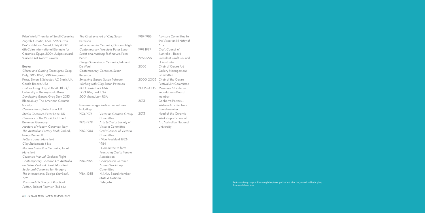Prize World Triennial of Small Ceramics Zagreb, Croatia; 1995, 1996 'Orton Box' Exhibition Award, USA; 2002 6th Cairo International Biennale for Ceramics, Egypt; 2004 Judges award, 'Calleen Art Award' Cowra.

#### Books:

Glazes and Glazing Techniques, Greg Daly, 1995, 1996, 1998 Kangaroo Press, Simon & Schuster, AC Black, UK, Gentle Breeze, USA Lustres, Greg Daly, 2012 AC Black/ University of Pennsylvania Press Developing Glazes, Greg Daly, 2013 Bloomsbury, The American Ceramic Society Ceramic Form, Peter Lane, UK Studio Ceramics, Peter Lane, UK Ceramics of the World. Gottfried Borrman, Germany Masters of Modern Ceramics, Italy The Australian Pottery Book, 2nd ed., Harry Memmott Pottery, Janet Mansfield Clay Statements | & II Modern Australian Ceramics, Janet Mansfield Ceramics Manual, Graham Flight Contemporary Ceramic Art, Australia and New Zealand, Janet Mansfield Sculptural Ceramics, Ian Gregory The International Design Yearbook, 1993 **Illustrated Dictionay of Practical** Pottery, Robert Fournier (3rd ed.)

The Craft and Art of Clay, Susan 1987-1988 Peterson Introduction to Ceramics, Graham Flight Contemporary Porcelain, Peter Lane 1991-1997 Resist and Masking Techniques, Peter Beard 1992-1995 Design Sourcebook Ceramics, Edmund De Waal 2003 Contemporary Ceramics, Susan Peterson Smashing Glazes, Susan Peterson Working with Clay, Susan Peterson 500 Bowls, Lark USA 500 Tiles, Lark USA 500 Vases, Lark USA 2013 Numerous organisation committees including: 1974-1976 Victorian Ceramic Group 2013-Committee 1978-1979 Arts & Crafts Society of Victoria Committee 1982-1984 Craft Council of Victoria Committee · Vice President 1982-1984 • Committee to form **Practicing Crafts People** Association **Chairperson Ceramic** 1987-1988 Access Workshop Committee 1984-1985 N.A.V.A. Board Member State & National Delegate

Advisory Committee to the Victorian Ministry of Arts Craft Council of Australia - Board **President Craft Council** of Australia Chair of Cowra Art **Gallery Management** Committee 2000-2003 Chair of the Cowra Festival Art Committee 2003-2005 Museums & Galleries Foundation - Board member Canberra Potters -Watson Arts Centre -Board member Head of the Ceramic Workshop - School of Art Australian National University

> Back cover: Group image – Glaze –on-platter; Vases gold leaf and silver leaf, enamel and lustre glaze; thrown and altered form.